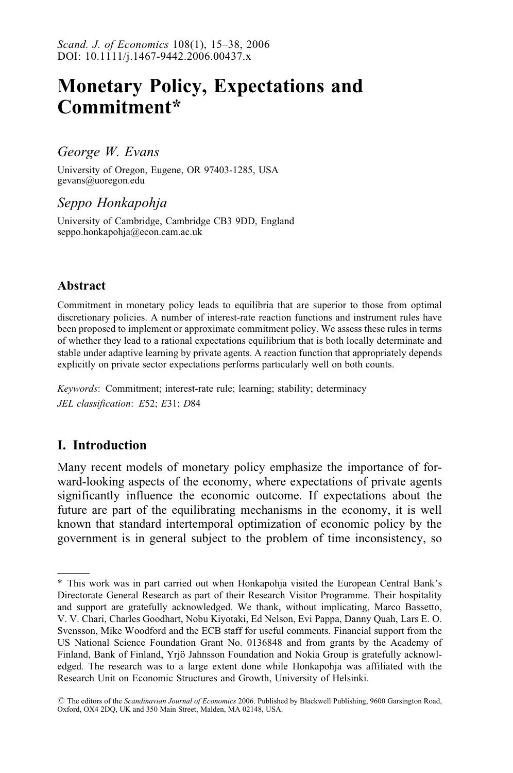# Monetary Policy, Expectations and Commitment\*

# George W. Evans

University of Oregon, Eugene, OR 97403-1285, USA gevans@uoregon.edu

# Seppo Honkapohja

University of Cambridge, Cambridge CB3 9DD, England seppo.honkapohja@econ.cam.ac.uk

# Abstract

Commitment in monetary policy leads to equilibria that are superior to those from optimal discretionary policies. A number of interest-rate reaction functions and instrument rules have been proposed to implement or approximate commitment policy. We assess these rules in terms of whether they lead to a rational expectations equilibrium that is both locally determinate and stable under adaptive learning by private agents. A reaction function that appropriately depends explicitly on private sector expectations performs particularly well on both counts.

Keywords: Commitment; interest-rate rule; learning; stability; determinacy JEL classification: E52; E31; D84

# I. Introduction

Many recent models of monetary policy emphasize the importance of forward-looking aspects of the economy, where expectations of private agents significantly influence the economic outcome. If expectations about the future are part of the equilibrating mechanisms in the economy, it is well known that standard intertemporal optimization of economic policy by the government is in general subject to the problem of time inconsistency, so

<sup>\*</sup> This work was in part carried out when Honkapohja visited the European Central Bank's Directorate General Research as part of their Research Visitor Programme. Their hospitality and support are gratefully acknowledged. We thank, without implicating, Marco Bassetto, V. V. Chari, Charles Goodhart, Nobu Kiyotaki, Ed Nelson, Evi Pappa, Danny Quah, Lars E. O. Svensson, Mike Woodford and the ECB staff for useful comments. Financial support from the US National Science Foundation Grant No. 0136848 and from grants by the Academy of Finland, Bank of Finland, Yrjo¨ Jahnsson Foundation and Nokia Group is gratefully acknowledged. The research was to a large extent done while Honkapohja was affiliated with the Research Unit on Economic Structures and Growth, University of Helsinki.

<sup>©</sup> The editors of the Scandinavian Journal of Economics 2006. Published by Blackwell Publishing, 9600 Garsington Road, Oxford, OX4 2DQ, UK and 350 Main Street, Malden, MA 02148, USA.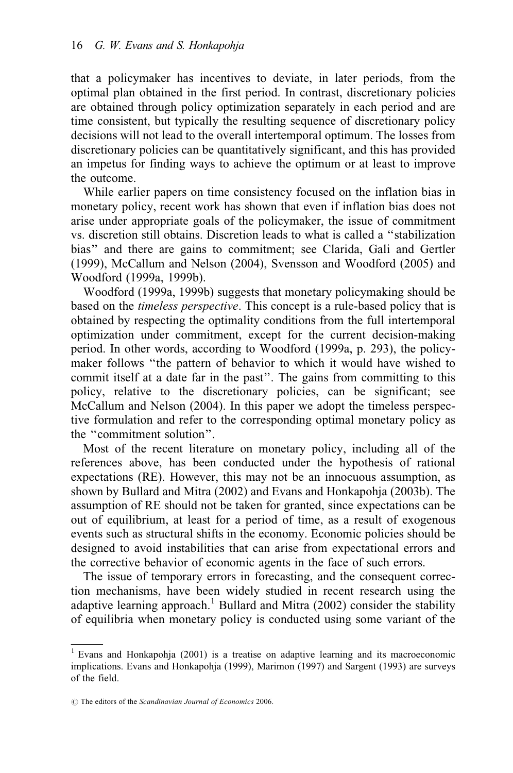that a policymaker has incentives to deviate, in later periods, from the optimal plan obtained in the first period. In contrast, discretionary policies are obtained through policy optimization separately in each period and are time consistent, but typically the resulting sequence of discretionary policy decisions will not lead to the overall intertemporal optimum. The losses from discretionary policies can be quantitatively significant, and this has provided an impetus for finding ways to achieve the optimum or at least to improve the outcome.

While earlier papers on time consistency focused on the inflation bias in monetary policy, recent work has shown that even if inflation bias does not arise under appropriate goals of the policymaker, the issue of commitment vs. discretion still obtains. Discretion leads to what is called a ''stabilization bias'' and there are gains to commitment; see Clarida, Gali and Gertler (1999), McCallum and Nelson (2004), Svensson and Woodford (2005) and Woodford (1999a, 1999b).

Woodford (1999a, 1999b) suggests that monetary policymaking should be based on the timeless perspective. This concept is a rule-based policy that is obtained by respecting the optimality conditions from the full intertemporal optimization under commitment, except for the current decision-making period. In other words, according to Woodford (1999a, p. 293), the policymaker follows ''the pattern of behavior to which it would have wished to commit itself at a date far in the past''. The gains from committing to this policy, relative to the discretionary policies, can be significant; see McCallum and Nelson (2004). In this paper we adopt the timeless perspective formulation and refer to the corresponding optimal monetary policy as the ''commitment solution''.

Most of the recent literature on monetary policy, including all of the references above, has been conducted under the hypothesis of rational expectations (RE). However, this may not be an innocuous assumption, as shown by Bullard and Mitra (2002) and Evans and Honkapohja (2003b). The assumption of RE should not be taken for granted, since expectations can be out of equilibrium, at least for a period of time, as a result of exogenous events such as structural shifts in the economy. Economic policies should be designed to avoid instabilities that can arise from expectational errors and the corrective behavior of economic agents in the face of such errors.

The issue of temporary errors in forecasting, and the consequent correction mechanisms, have been widely studied in recent research using the adaptive learning approach.<sup>1</sup> Bullard and Mitra (2002) consider the stability of equilibria when monetary policy is conducted using some variant of the

<sup>&</sup>lt;sup>1</sup> Evans and Honkapohja (2001) is a treatise on adaptive learning and its macroeconomic implications. Evans and Honkapohja (1999), Marimon (1997) and Sargent (1993) are surveys of the field.

 $\circled{c}$  The editors of the Scandinavian Journal of Economics 2006.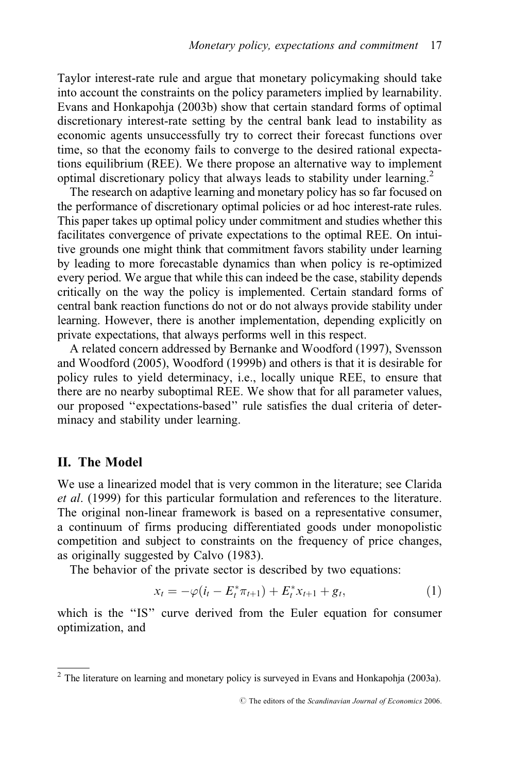Taylor interest-rate rule and argue that monetary policymaking should take into account the constraints on the policy parameters implied by learnability. Evans and Honkapohja (2003b) show that certain standard forms of optimal discretionary interest-rate setting by the central bank lead to instability as economic agents unsuccessfully try to correct their forecast functions over time, so that the economy fails to converge to the desired rational expectations equilibrium (REE). We there propose an alternative way to implement optimal discretionary policy that always leads to stability under learning.<sup>2</sup>

The research on adaptive learning and monetary policy has so far focused on the performance of discretionary optimal policies or ad hoc interest-rate rules. This paper takes up optimal policy under commitment and studies whether this facilitates convergence of private expectations to the optimal REE. On intuitive grounds one might think that commitment favors stability under learning by leading to more forecastable dynamics than when policy is re-optimized every period. We argue that while this can indeed be the case, stability depends critically on the way the policy is implemented. Certain standard forms of central bank reaction functions do not or do not always provide stability under learning. However, there is another implementation, depending explicitly on private expectations, that always performs well in this respect.

A related concern addressed by Bernanke and Woodford (1997), Svensson and Woodford (2005), Woodford (1999b) and others is that it is desirable for policy rules to yield determinacy, i.e., locally unique REE, to ensure that there are no nearby suboptimal REE. We show that for all parameter values, our proposed ''expectations-based'' rule satisfies the dual criteria of determinacy and stability under learning.

## II. The Model

We use a linearized model that is very common in the literature; see Clarida et al. (1999) for this particular formulation and references to the literature. The original non-linear framework is based on a representative consumer, a continuum of firms producing differentiated goods under monopolistic competition and subject to constraints on the frequency of price changes, as originally suggested by Calvo (1983).

The behavior of the private sector is described by two equations:

$$
x_t = -\varphi(i_t - E_t^* \pi_{t+1}) + E_t^* x_{t+1} + g_t, \tag{1}
$$

which is the "IS" curve derived from the Euler equation for consumer optimization, and

<sup>2</sup> The literature on learning and monetary policy is surveyed in Evans and Honkapohja (2003a).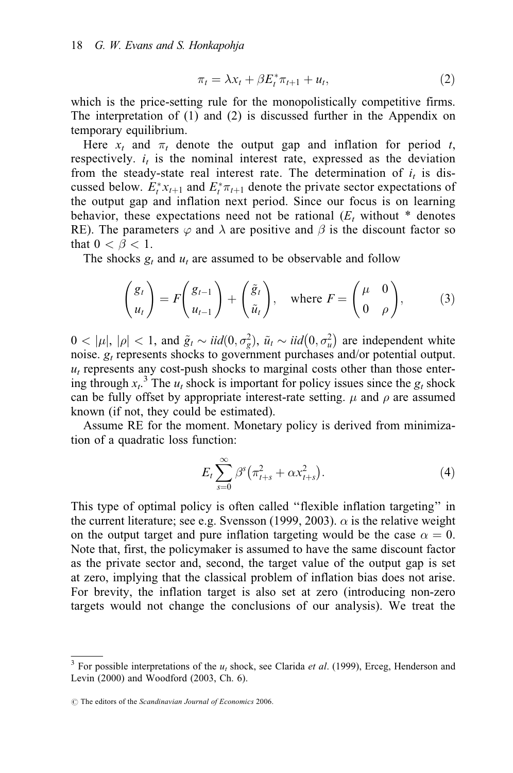$$
\pi_t = \lambda x_t + \beta E_t^* \pi_{t+1} + u_t, \qquad (2)
$$

which is the price-setting rule for the monopolistically competitive firms. The interpretation of (1) and (2) is discussed further in the Appendix on temporary equilibrium.

Here  $x_t$  and  $\pi_t$  denote the output gap and inflation for period t, respectively.  $i_t$  is the nominal interest rate, expressed as the deviation from the steady-state real interest rate. The determination of  $i_t$  is discussed below.  $E_t^* x_{t+1}$  and  $E_t^* \pi_{t+1}$  denote the private sector expectations of the output gap and inflation next period. Since our focus is on learning behavior, these expectations need not be rational  $(E_t$  without  $*$  denotes RE). The parameters  $\varphi$  and  $\lambda$  are positive and  $\beta$  is the discount factor so that  $0 < \beta < 1$ .

The shocks  $g_t$  and  $u_t$  are assumed to be observable and follow

$$
\begin{pmatrix} g_t \\ u_t \end{pmatrix} = F \begin{pmatrix} g_{t-1} \\ u_{t-1} \end{pmatrix} + \begin{pmatrix} \tilde{g}_t \\ \tilde{u}_t \end{pmatrix}, \text{ where } F = \begin{pmatrix} \mu & 0 \\ 0 & \rho \end{pmatrix}, \quad (3)
$$

 $0 < |\mu|, |\rho| < 1$ , and  $\tilde{g}_t \sim \textit{iid}(0, \sigma_g^2), \tilde{u}_t \sim \textit{iid}(0, \sigma_u^2)$  $\mathcal{C}(0, \sigma_u^2)$  are independent white noise.  $g_t$  represents shocks to government purchases and/or potential output.  $u_t$  represents any cost-push shocks to marginal costs other than those entering through  $x_t$ .<sup>3</sup> The  $u_t$  shock is important for policy issues since the  $g_t$  shock can be fully offset by appropriate interest-rate setting.  $\mu$  and  $\rho$  are assumed known (if not, they could be estimated).

Assume RE for the moment. Monetary policy is derived from minimization of a quadratic loss function:

$$
E_t \sum_{s=0}^{\infty} \beta^s \left( \pi_{t+s}^2 + \alpha x_{t+s}^2 \right). \tag{4}
$$

This type of optimal policy is often called ''flexible inflation targeting'' in the current literature; see e.g. Svensson (1999, 2003).  $\alpha$  is the relative weight on the output target and pure inflation targeting would be the case  $\alpha = 0$ . Note that, first, the policymaker is assumed to have the same discount factor as the private sector and, second, the target value of the output gap is set at zero, implying that the classical problem of inflation bias does not arise. For brevity, the inflation target is also set at zero (introducing non-zero targets would not change the conclusions of our analysis). We treat the

<sup>&</sup>lt;sup>3</sup> For possible interpretations of the  $u_t$  shock, see Clarida et al. (1999), Erceg, Henderson and Levin (2000) and Woodford (2003, Ch. 6).

 $\circled{c}$  The editors of the Scandinavian Journal of Economics 2006.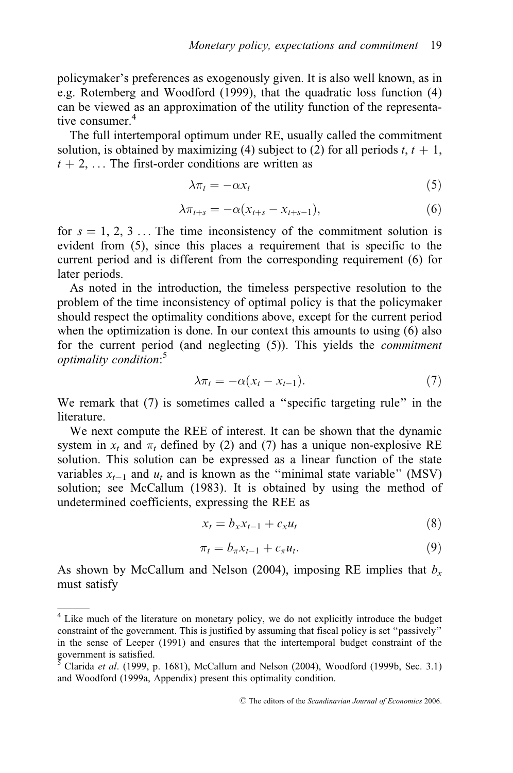policymaker's preferences as exogenously given. It is also well known, as in e.g. Rotemberg and Woodford (1999), that the quadratic loss function (4) can be viewed as an approximation of the utility function of the representative consumer.<sup>4</sup>

The full intertemporal optimum under RE, usually called the commitment solution, is obtained by maximizing (4) subject to (2) for all periods t,  $t + 1$ ,  $t + 2, \ldots$  The first-order conditions are written as

$$
\lambda \pi_t = -\alpha x_t \tag{5}
$$

$$
\lambda \pi_{t+s} = -\alpha (x_{t+s} - x_{t+s-1}), \tag{6}
$$

for  $s = 1, 2, 3, \ldots$  The time inconsistency of the commitment solution is evident from (5), since this places a requirement that is specific to the current period and is different from the corresponding requirement (6) for later periods.

As noted in the introduction, the timeless perspective resolution to the problem of the time inconsistency of optimal policy is that the policymaker should respect the optimality conditions above, except for the current period when the optimization is done. In our context this amounts to using (6) also for the current period (and neglecting (5)). This yields the commitment optimality condition:<sup>5</sup>

$$
\lambda \pi_t = -\alpha (x_t - x_{t-1}). \tag{7}
$$

We remark that (7) is sometimes called a "specific targeting rule" in the literature.

We next compute the REE of interest. It can be shown that the dynamic system in  $x_t$  and  $\pi_t$  defined by (2) and (7) has a unique non-explosive RE solution. This solution can be expressed as a linear function of the state variables  $x_{t-1}$  and  $u_t$  and is known as the "minimal state variable" (MSV) solution; see McCallum (1983). It is obtained by using the method of undetermined coefficients, expressing the REE as

$$
x_t = b_x x_{t-1} + c_x u_t \tag{8}
$$

$$
\pi_t = b_\pi x_{t-1} + c_\pi u_t. \tag{9}
$$

As shown by McCallum and Nelson (2004), imposing RE implies that  $b_x$ must satisfy

<sup>&</sup>lt;sup>4</sup> Like much of the literature on monetary policy, we do not explicitly introduce the budget constraint of the government. This is justified by assuming that fiscal policy is set ''passively'' in the sense of Leeper (1991) and ensures that the intertemporal budget constraint of the government is satisfied.

<sup>5</sup> Clarida et al. (1999, p. 1681), McCallum and Nelson (2004), Woodford (1999b, Sec. 3.1) and Woodford (1999a, Appendix) present this optimality condition.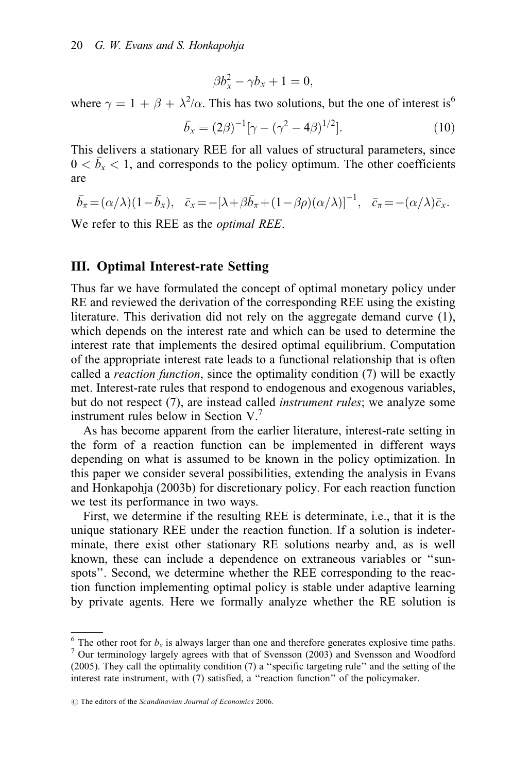$$
\beta b_x^2 - \gamma b_x + 1 = 0,
$$

where  $\gamma = 1 + \beta + \lambda^2/\alpha$ . This has two solutions, but the one of interest is<sup>6</sup>

$$
\bar{b}_x = (2\beta)^{-1} [\gamma - (\gamma^2 - 4\beta)^{1/2}]. \tag{10}
$$

This delivers a stationary REE for all values of structural parameters, since  $0 < \bar{b}_x < 1$ , and corresponds to the policy optimum. The other coefficients are

$$
\bar{b}_{\pi} = (\alpha/\lambda)(1-\bar{b}_{x}), \quad \bar{c}_{x} = -[\lambda+\beta\bar{b}_{\pi}+(1-\beta\rho)(\alpha/\lambda)]^{-1}, \quad \bar{c}_{\pi} = -(\alpha/\lambda)\bar{c}_{x}.
$$

We refer to this REE as the *optimal REE*.

# III. Optimal Interest-rate Setting

Thus far we have formulated the concept of optimal monetary policy under RE and reviewed the derivation of the corresponding REE using the existing literature. This derivation did not rely on the aggregate demand curve (1), which depends on the interest rate and which can be used to determine the interest rate that implements the desired optimal equilibrium. Computation of the appropriate interest rate leads to a functional relationship that is often called a reaction function, since the optimality condition (7) will be exactly met. Interest-rate rules that respond to endogenous and exogenous variables, but do not respect (7), are instead called instrument rules; we analyze some instrument rules below in Section  $V<sup>7</sup>$ 

As has become apparent from the earlier literature, interest-rate setting in the form of a reaction function can be implemented in different ways depending on what is assumed to be known in the policy optimization. In this paper we consider several possibilities, extending the analysis in Evans and Honkapohja (2003b) for discretionary policy. For each reaction function we test its performance in two ways.

First, we determine if the resulting REE is determinate, i.e., that it is the unique stationary REE under the reaction function. If a solution is indeterminate, there exist other stationary RE solutions nearby and, as is well known, these can include a dependence on extraneous variables or ''sunspots''. Second, we determine whether the REE corresponding to the reaction function implementing optimal policy is stable under adaptive learning by private agents. Here we formally analyze whether the RE solution is

<sup>&</sup>lt;sup>6</sup> The other root for  $b_x$  is always larger than one and therefore generates explosive time paths. <sup>7</sup> Our terminology largely agrees with that of Svensson (2003) and Svensson and Woodford (2005). They call the optimality condition (7) a ''specific targeting rule'' and the setting of the interest rate instrument, with (7) satisfied, a ''reaction function'' of the policymaker.

 $\circled{c}$  The editors of the Scandinavian Journal of Economics 2006.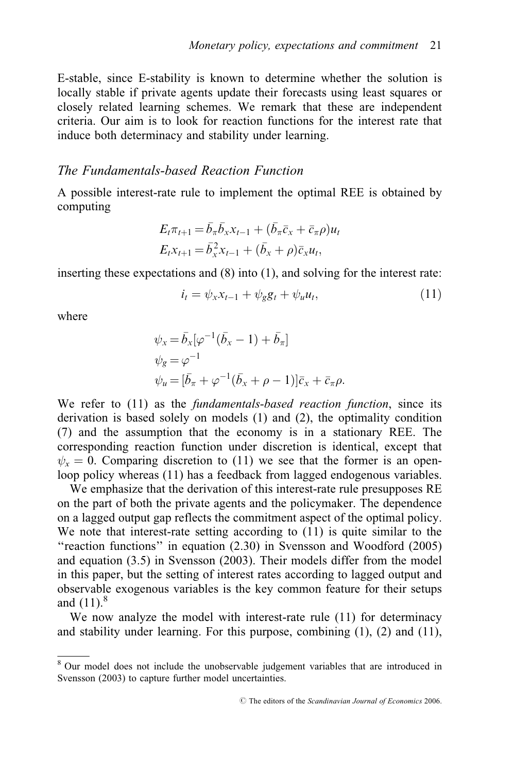E-stable, since E-stability is known to determine whether the solution is locally stable if private agents update their forecasts using least squares or closely related learning schemes. We remark that these are independent criteria. Our aim is to look for reaction functions for the interest rate that induce both determinacy and stability under learning.

### The Fundamentals-based Reaction Function

A possible interest-rate rule to implement the optimal REE is obtained by computing

$$
E_t \pi_{t+1} = \bar{b}_{\pi} \bar{b}_{x} x_{t-1} + (\bar{b}_{\pi} \bar{c}_{x} + \bar{c}_{\pi} \rho) u_t E_t x_{t+1} = \bar{b}_{x}^2 x_{t-1} + (\bar{b}_{x} + \rho) \bar{c}_{x} u_t,
$$

inserting these expectations and (8) into (1), and solving for the interest rate:

$$
i_t = \psi_x x_{t-1} + \psi_g g_t + \psi_u u_t, \qquad (11)
$$

where

$$
\psi_x = \bar{b}_x[\varphi^{-1}(\bar{b}_x - 1) + \bar{b}_\pi]
$$
  
\n
$$
\psi_g = \varphi^{-1}
$$
  
\n
$$
\psi_u = [\bar{b}_\pi + \varphi^{-1}(\bar{b}_x + \rho - 1)]\bar{c}_x + \bar{c}_\pi\rho.
$$

We refer to  $(11)$  as the *fundamentals-based reaction function*, since its derivation is based solely on models (1) and (2), the optimality condition (7) and the assumption that the economy is in a stationary REE. The corresponding reaction function under discretion is identical, except that  $\psi_x = 0$ . Comparing discretion to (11) we see that the former is an openloop policy whereas (11) has a feedback from lagged endogenous variables.

We emphasize that the derivation of this interest-rate rule presupposes RE on the part of both the private agents and the policymaker. The dependence on a lagged output gap reflects the commitment aspect of the optimal policy. We note that interest-rate setting according to (11) is quite similar to the "reaction functions" in equation (2.30) in Svensson and Woodford (2005) and equation (3.5) in Svensson (2003). Their models differ from the model in this paper, but the setting of interest rates according to lagged output and observable exogenous variables is the key common feature for their setups and  $(11).<sup>8</sup>$ 

We now analyze the model with interest-rate rule (11) for determinacy and stability under learning. For this purpose, combining  $(1)$ ,  $(2)$  and  $(11)$ ,

<sup>&</sup>lt;sup>8</sup> Our model does not include the unobservable judgement variables that are introduced in Svensson (2003) to capture further model uncertainties.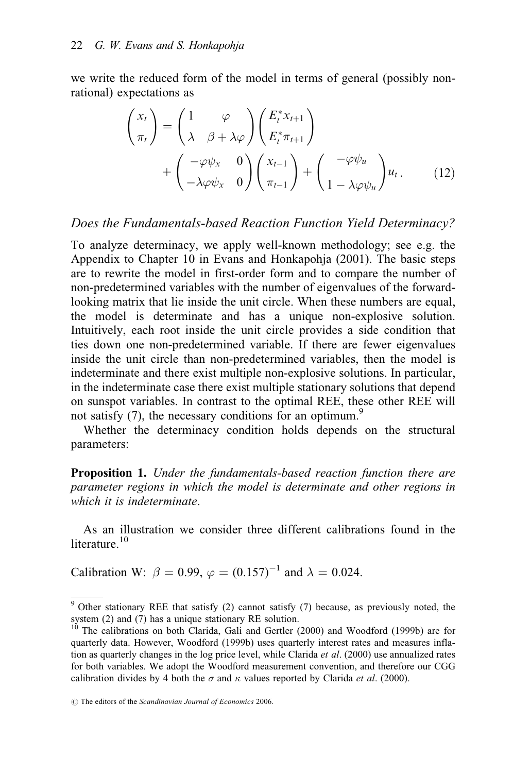we write the reduced form of the model in terms of general (possibly nonrational) expectations as

$$
\begin{pmatrix} x_t \\ \pi_t \end{pmatrix} = \begin{pmatrix} 1 & \varphi \\ \lambda & \beta + \lambda \varphi \end{pmatrix} \begin{pmatrix} E_t^* x_{t+1} \\ E_t^* \pi_{t+1} \end{pmatrix} + \begin{pmatrix} -\varphi \psi_x & 0 \\ -\lambda \varphi \psi_x & 0 \end{pmatrix} \begin{pmatrix} x_{t-1} \\ \pi_{t-1} \end{pmatrix} + \begin{pmatrix} -\varphi \psi_u \\ 1 - \lambda \varphi \psi_u \end{pmatrix} u_t.
$$
 (12)

Does the Fundamentals-based Reaction Function Yield Determinacy?

To analyze determinacy, we apply well-known methodology; see e.g. the Appendix to Chapter 10 in Evans and Honkapohja (2001). The basic steps are to rewrite the model in first-order form and to compare the number of non-predetermined variables with the number of eigenvalues of the forwardlooking matrix that lie inside the unit circle. When these numbers are equal, the model is determinate and has a unique non-explosive solution. Intuitively, each root inside the unit circle provides a side condition that ties down one non-predetermined variable. If there are fewer eigenvalues inside the unit circle than non-predetermined variables, then the model is indeterminate and there exist multiple non-explosive solutions. In particular, in the indeterminate case there exist multiple stationary solutions that depend on sunspot variables. In contrast to the optimal REE, these other REE will not satisfy  $(7)$ , the necessary conditions for an optimum.<sup>9</sup>

Whether the determinacy condition holds depends on the structural parameters:

Proposition 1. Under the fundamentals-based reaction function there are parameter regions in which the model is determinate and other regions in which it is indeterminate.

As an illustration we consider three different calibrations found in the literature.<sup>10</sup>

Calibration W:  $\beta = 0.99$ ,  $\varphi = (0.157)^{-1}$  and  $\lambda = 0.024$ .

<sup>9</sup> Other stationary REE that satisfy (2) cannot satisfy (7) because, as previously noted, the system (2) and (7) has a unique stationary RE solution.<br><sup>10</sup> The calibrations on both Clarida, Gali and Gertler (2000) and Woodford (1999b) are for

quarterly data. However, Woodford (1999b) uses quarterly interest rates and measures inflation as quarterly changes in the log price level, while Clarida *et al.* (2000) use annualized rates for both variables. We adopt the Woodford measurement convention, and therefore our CGG calibration divides by 4 both the  $\sigma$  and  $\kappa$  values reported by Clarida et al. (2000).

 $\circled{c}$  The editors of the Scandinavian Journal of Economics 2006.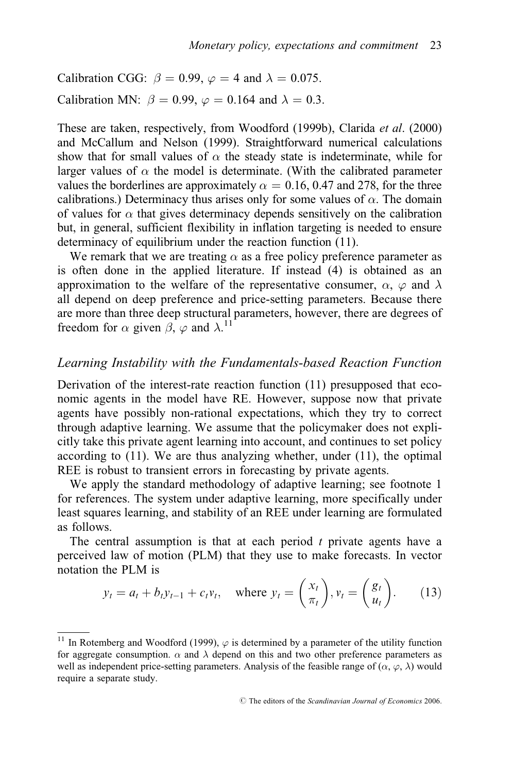Calibration CGG:  $\beta = 0.99$ ,  $\varphi = 4$  and  $\lambda = 0.075$ . Calibration MN:  $\beta = 0.99$ ,  $\varphi = 0.164$  and  $\lambda = 0.3$ .

These are taken, respectively, from Woodford (1999b), Clarida et al. (2000) and McCallum and Nelson (1999). Straightforward numerical calculations show that for small values of  $\alpha$  the steady state is indeterminate, while for larger values of  $\alpha$  the model is determinate. (With the calibrated parameter values the borderlines are approximately  $\alpha = 0.16, 0.47$  and 278, for the three calibrations.) Determinacy thus arises only for some values of  $\alpha$ . The domain of values for  $\alpha$  that gives determinacy depends sensitively on the calibration but, in general, sufficient flexibility in inflation targeting is needed to ensure determinacy of equilibrium under the reaction function (11).

We remark that we are treating  $\alpha$  as a free policy preference parameter as is often done in the applied literature. If instead (4) is obtained as an approximation to the welfare of the representative consumer,  $\alpha$ ,  $\varphi$  and  $\lambda$ all depend on deep preference and price-setting parameters. Because there are more than three deep structural parameters, however, there are degrees of freedom for  $\alpha$  given  $\beta$ ,  $\varphi$  and  $\lambda$ .<sup>11</sup>

## Learning Instability with the Fundamentals-based Reaction Function

Derivation of the interest-rate reaction function (11) presupposed that economic agents in the model have RE. However, suppose now that private agents have possibly non-rational expectations, which they try to correct through adaptive learning. We assume that the policymaker does not explicitly take this private agent learning into account, and continues to set policy according to (11). We are thus analyzing whether, under (11), the optimal REE is robust to transient errors in forecasting by private agents.

We apply the standard methodology of adaptive learning; see footnote 1 for references. The system under adaptive learning, more specifically under least squares learning, and stability of an REE under learning are formulated as follows.

The central assumption is that at each period  $t$  private agents have a perceived law of motion (PLM) that they use to make forecasts. In vector notation the PLM is

$$
y_t = a_t + b_t y_{t-1} + c_t v_t, \quad \text{where } y_t = \begin{pmatrix} x_t \\ \pi_t \end{pmatrix}, v_t = \begin{pmatrix} g_t \\ u_t \end{pmatrix}.
$$
 (13)

<sup>&</sup>lt;sup>11</sup> In Rotemberg and Woodford (1999),  $\varphi$  is determined by a parameter of the utility function for aggregate consumption.  $\alpha$  and  $\lambda$  depend on this and two other preference parameters as well as independent price-setting parameters. Analysis of the feasible range of  $(\alpha, \varphi, \lambda)$  would require a separate study.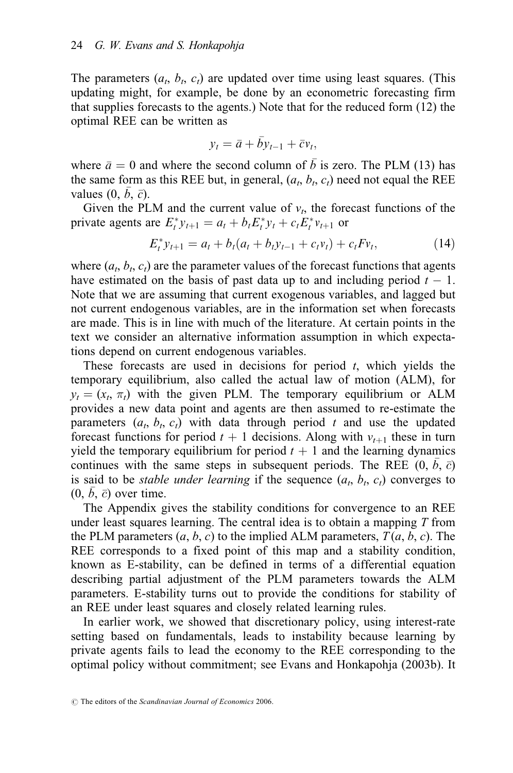The parameters  $(a_t, b_t, c_t)$  are updated over time using least squares. (This updating might, for example, be done by an econometric forecasting firm that supplies forecasts to the agents.) Note that for the reduced form (12) the optimal REE can be written as

$$
y_t = \bar{a} + \bar{b}y_{t-1} + \bar{c}y_t,
$$

where  $\bar{a} = 0$  and where the second column of  $\bar{b}$  is zero. The PLM (13) has the same form as this REE but, in general,  $(a_t, b_t, c_t)$  need not equal the REE values  $(0, \bar{b}, \bar{c})$ .

Given the PLM and the current value of  $v_t$ , the forecast functions of the private agents are  $E_t^* y_{t+1} = a_t + b_t E_t^* y_t + c_t E_t^* v_{t+1}$  or

$$
E_t^* y_{t+1} = a_t + b_t (a_t + b_t y_{t-1} + c_t v_t) + c_t F v_t, \qquad (14)
$$

where  $(a_t, b_t, c_t)$  are the parameter values of the forecast functions that agents have estimated on the basis of past data up to and including period  $t - 1$ . Note that we are assuming that current exogenous variables, and lagged but not current endogenous variables, are in the information set when forecasts are made. This is in line with much of the literature. At certain points in the text we consider an alternative information assumption in which expectations depend on current endogenous variables.

These forecasts are used in decisions for period  $t$ , which yields the temporary equilibrium, also called the actual law of motion (ALM), for  $y_t = (x_t, \pi_t)$  with the given PLM. The temporary equilibrium or ALM provides a new data point and agents are then assumed to re-estimate the parameters  $(a_t, b_t, c_t)$  with data through period t and use the updated forecast functions for period  $t + 1$  decisions. Along with  $v_{t+1}$  these in turn yield the temporary equilibrium for period  $t + 1$  and the learning dynamics continues with the same steps in subsequent periods. The REE  $(0, \bar{b}, \bar{c})$ is said to be *stable under learning* if the sequence  $(a_t, b_t, c_t)$  converges to  $(0, \bar{b}, \bar{c})$  over time.

The Appendix gives the stability conditions for convergence to an REE under least squares learning. The central idea is to obtain a mapping T from the PLM parameters  $(a, b, c)$  to the implied ALM parameters,  $T(a, b, c)$ . The REE corresponds to a fixed point of this map and a stability condition, known as E-stability, can be defined in terms of a differential equation describing partial adjustment of the PLM parameters towards the ALM parameters. E-stability turns out to provide the conditions for stability of an REE under least squares and closely related learning rules.

In earlier work, we showed that discretionary policy, using interest-rate setting based on fundamentals, leads to instability because learning by private agents fails to lead the economy to the REE corresponding to the optimal policy without commitment; see Evans and Honkapohja (2003b). It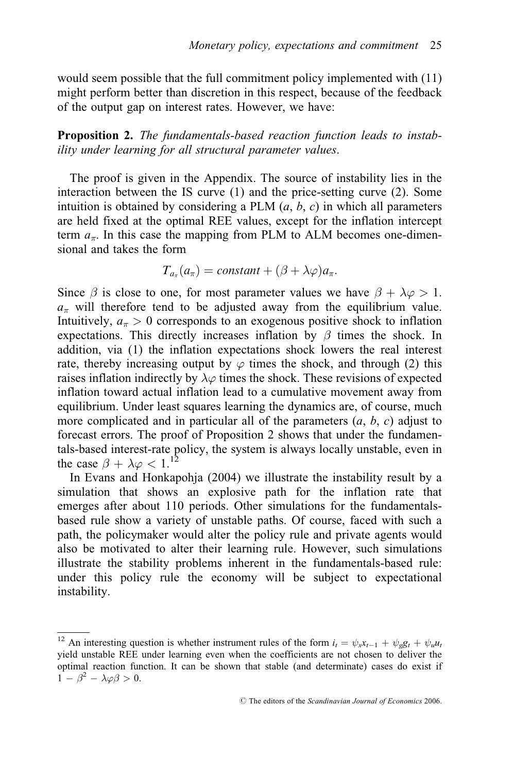would seem possible that the full commitment policy implemented with (11) might perform better than discretion in this respect, because of the feedback of the output gap on interest rates. However, we have:

Proposition 2. The fundamentals-based reaction function leads to instability under learning for all structural parameter values.

The proof is given in the Appendix. The source of instability lies in the interaction between the IS curve (1) and the price-setting curve (2). Some intuition is obtained by considering a PLM  $(a, b, c)$  in which all parameters are held fixed at the optimal REE values, except for the inflation intercept term  $a_{\pi}$ . In this case the mapping from PLM to ALM becomes one-dimensional and takes the form

$$
T_{a_{\pi}}(a_{\pi}) = constant + (\beta + \lambda \varphi)a_{\pi}.
$$

Since  $\beta$  is close to one, for most parameter values we have  $\beta + \lambda \varphi > 1$ .  $a_{\pi}$  will therefore tend to be adjusted away from the equilibrium value. Intuitively,  $a_{\pi} > 0$  corresponds to an exogenous positive shock to inflation expectations. This directly increases inflation by  $\beta$  times the shock. In addition, via (1) the inflation expectations shock lowers the real interest rate, thereby increasing output by  $\varphi$  times the shock, and through (2) this raises inflation indirectly by  $\lambda \varphi$  times the shock. These revisions of expected inflation toward actual inflation lead to a cumulative movement away from equilibrium. Under least squares learning the dynamics are, of course, much more complicated and in particular all of the parameters  $(a, b, c)$  adjust to forecast errors. The proof of Proposition 2 shows that under the fundamentals-based interest-rate policy, the system is always locally unstable, even in the case  $\beta + \lambda \varphi < 1$ .

In Evans and Honkapohja (2004) we illustrate the instability result by a simulation that shows an explosive path for the inflation rate that emerges after about 110 periods. Other simulations for the fundamentalsbased rule show a variety of unstable paths. Of course, faced with such a path, the policymaker would alter the policy rule and private agents would also be motivated to alter their learning rule. However, such simulations illustrate the stability problems inherent in the fundamentals-based rule: under this policy rule the economy will be subject to expectational instability.

<sup>&</sup>lt;sup>12</sup> An interesting question is whether instrument rules of the form  $i_t = \psi_x x_{t-1} + \psi_g g_t + \psi_u u_t$ yield unstable REE under learning even when the coefficients are not chosen to deliver the optimal reaction function. It can be shown that stable (and determinate) cases do exist if  $1 - \beta^2 - \lambda \varphi \beta > 0.$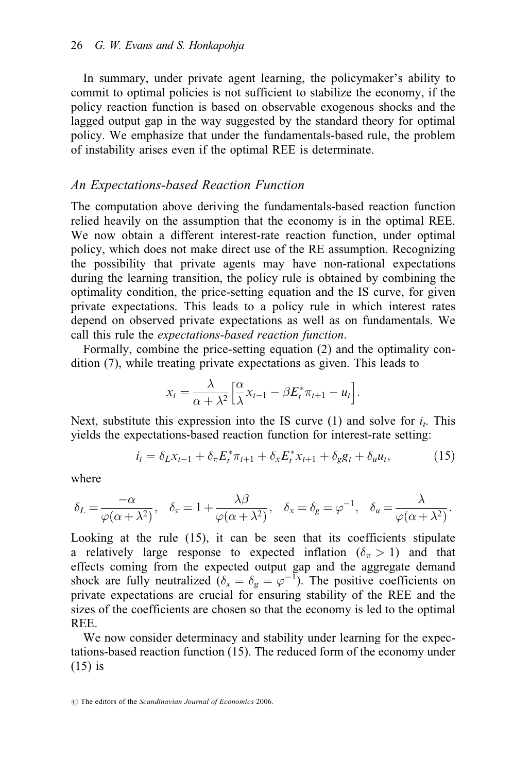In summary, under private agent learning, the policymaker's ability to commit to optimal policies is not sufficient to stabilize the economy, if the policy reaction function is based on observable exogenous shocks and the lagged output gap in the way suggested by the standard theory for optimal policy. We emphasize that under the fundamentals-based rule, the problem of instability arises even if the optimal REE is determinate.

#### An Expectations-based Reaction Function

The computation above deriving the fundamentals-based reaction function relied heavily on the assumption that the economy is in the optimal REE. We now obtain a different interest-rate reaction function, under optimal policy, which does not make direct use of the RE assumption. Recognizing the possibility that private agents may have non-rational expectations during the learning transition, the policy rule is obtained by combining the optimality condition, the price-setting equation and the IS curve, for given private expectations. This leads to a policy rule in which interest rates depend on observed private expectations as well as on fundamentals. We call this rule the expectations-based reaction function.

Formally, combine the price-setting equation (2) and the optimality condition (7), while treating private expectations as given. This leads to

$$
x_t = \frac{\lambda}{\alpha + \lambda^2} \left[ \frac{\alpha}{\lambda} x_{t-1} - \beta E_t^* \pi_{t+1} - u_t \right].
$$

Next, substitute this expression into the IS curve (1) and solve for  $i_t$ . This yields the expectations-based reaction function for interest-rate setting:

$$
i_t = \delta_L x_{t-1} + \delta_\pi E_t^* \pi_{t+1} + \delta_x E_t^* x_{t+1} + \delta_g g_t + \delta_u u_t, \tag{15}
$$

where

$$
\delta_L = \frac{-\alpha}{\varphi(\alpha + \lambda^2)}, \quad \delta_\pi = 1 + \frac{\lambda\beta}{\varphi(\alpha + \lambda^2)}, \quad \delta_x = \delta_g = \varphi^{-1}, \quad \delta_u = \frac{\lambda}{\varphi(\alpha + \lambda^2)}.
$$

Looking at the rule (15), it can be seen that its coefficients stipulate a relatively large response to expected inflation  $(\delta_{\pi} > 1)$  and that effects coming from the expected output gap and the aggregate demand shock are fully neutralized  $(\delta_x = \delta_g = \varphi^{-1})$ . The positive coefficients on private expectations are crucial for ensuring stability of the REE and the sizes of the coefficients are chosen so that the economy is led to the optimal REE.

We now consider determinacy and stability under learning for the expectations-based reaction function (15). The reduced form of the economy under (15) is

 $\degree$  The editors of the *Scandinavian Journal of Economics* 2006.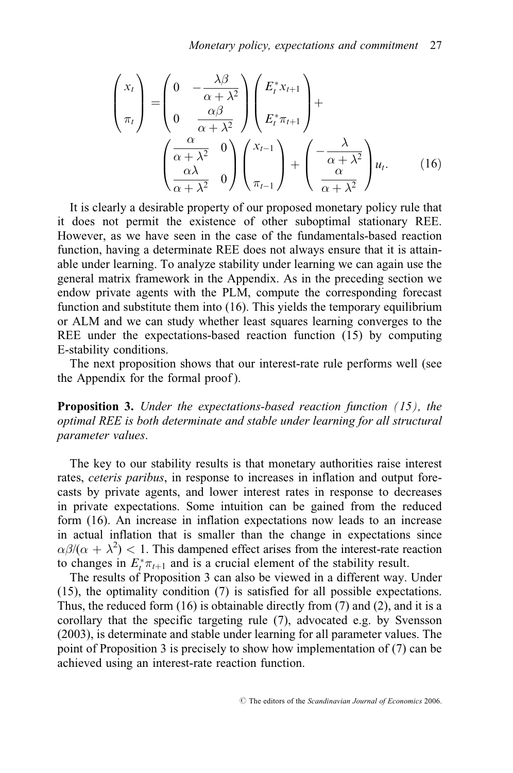$$
\begin{pmatrix} x_t \\ \pi_t \end{pmatrix} = \begin{pmatrix} 0 & -\frac{\lambda \beta}{\alpha + \lambda^2} \\ 0 & \frac{\alpha \beta}{\alpha + \lambda^2} \end{pmatrix} \begin{pmatrix} E_t^* x_{t+1} \\ E_t^* \pi_{t+1} \end{pmatrix} + \begin{pmatrix} \frac{\alpha}{\alpha + \lambda^2} & 0 \\ \frac{\alpha \lambda}{\alpha + \lambda^2} & 0 \end{pmatrix} \begin{pmatrix} x_{t-1} \\ \pi_{t-1} \end{pmatrix} + \begin{pmatrix} -\frac{\lambda}{\alpha + \lambda^2} \\ \frac{\alpha}{\alpha + \lambda^2} \end{pmatrix} u_t.
$$
 (16)

It is clearly a desirable property of our proposed monetary policy rule that it does not permit the existence of other suboptimal stationary REE. However, as we have seen in the case of the fundamentals-based reaction function, having a determinate REE does not always ensure that it is attainable under learning. To analyze stability under learning we can again use the general matrix framework in the Appendix. As in the preceding section we endow private agents with the PLM, compute the corresponding forecast function and substitute them into (16). This yields the temporary equilibrium or ALM and we can study whether least squares learning converges to the REE under the expectations-based reaction function (15) by computing E-stability conditions.

The next proposition shows that our interest-rate rule performs well (see the Appendix for the formal proof ).

**Proposition 3.** Under the expectations-based reaction function  $(15)$ , the optimal REE is both determinate and stable under learning for all structural parameter values.

The key to our stability results is that monetary authorities raise interest rates, ceteris paribus, in response to increases in inflation and output forecasts by private agents, and lower interest rates in response to decreases in private expectations. Some intuition can be gained from the reduced form (16). An increase in inflation expectations now leads to an increase in actual inflation that is smaller than the change in expectations since  $\alpha\beta/(\alpha + \lambda^2)$  < 1. This dampened effect arises from the interest-rate reaction to changes in  $E_t^* \pi_{t+1}$  and is a crucial element of the stability result.

The results of Proposition 3 can also be viewed in a different way. Under (15), the optimality condition (7) is satisfied for all possible expectations. Thus, the reduced form (16) is obtainable directly from (7) and (2), and it is a corollary that the specific targeting rule (7), advocated e.g. by Svensson (2003), is determinate and stable under learning for all parameter values. The point of Proposition 3 is precisely to show how implementation of (7) can be achieved using an interest-rate reaction function.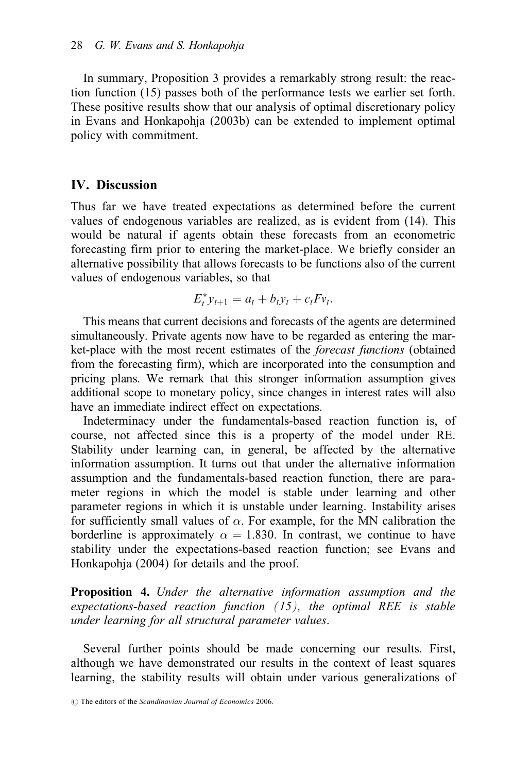In summary, Proposition 3 provides a remarkably strong result: the reaction function (15) passes both of the performance tests we earlier set forth. These positive results show that our analysis of optimal discretionary policy in Evans and Honkapohja (2003b) can be extended to implement optimal policy with commitment.

## IV. Discussion

Thus far we have treated expectations as determined before the current values of endogenous variables are realized, as is evident from (14). This would be natural if agents obtain these forecasts from an econometric forecasting firm prior to entering the market-place. We briefly consider an alternative possibility that allows forecasts to be functions also of the current values of endogenous variables, so that

$$
E_t^* y_{t+1} = a_t + b_t y_t + c_t F y_t.
$$

This means that current decisions and forecasts of the agents are determined simultaneously. Private agents now have to be regarded as entering the market-place with the most recent estimates of the forecast functions (obtained from the forecasting firm), which are incorporated into the consumption and pricing plans. We remark that this stronger information assumption gives additional scope to monetary policy, since changes in interest rates will also have an immediate indirect effect on expectations.

Indeterminacy under the fundamentals-based reaction function is, of course, not affected since this is a property of the model under RE. Stability under learning can, in general, be affected by the alternative information assumption. It turns out that under the alternative information assumption and the fundamentals-based reaction function, there are parameter regions in which the model is stable under learning and other parameter regions in which it is unstable under learning. Instability arises for sufficiently small values of  $\alpha$ . For example, for the MN calibration the borderline is approximately  $\alpha = 1.830$ . In contrast, we continue to have stability under the expectations-based reaction function; see Evans and Honkapohja (2004) for details and the proof.

**Proposition 4.** Under the alternative information assumption and the expectations-based reaction function  $(15)$ , the optimal REE is stable under learning for all structural parameter values.

Several further points should be made concerning our results. First, although we have demonstrated our results in the context of least squares learning, the stability results will obtain under various generalizations of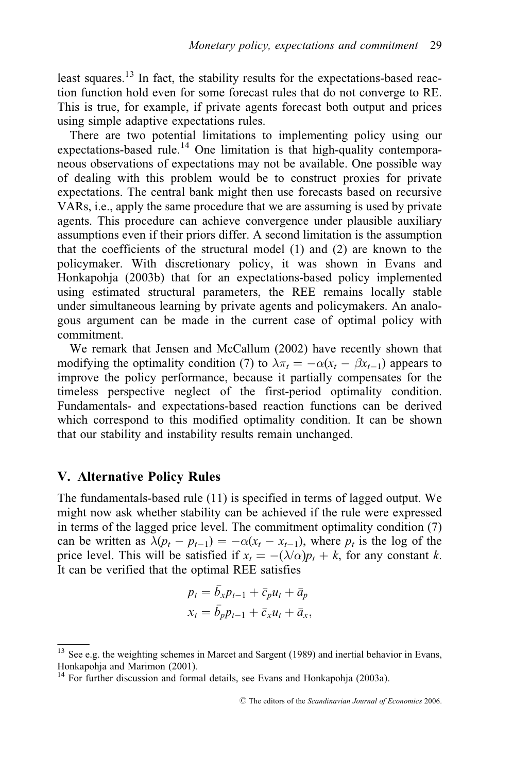least squares.<sup>13</sup> In fact, the stability results for the expectations-based reaction function hold even for some forecast rules that do not converge to RE. This is true, for example, if private agents forecast both output and prices using simple adaptive expectations rules.

There are two potential limitations to implementing policy using our expectations-based rule.<sup>14</sup> One limitation is that high-quality contemporaneous observations of expectations may not be available. One possible way of dealing with this problem would be to construct proxies for private expectations. The central bank might then use forecasts based on recursive VARs, i.e., apply the same procedure that we are assuming is used by private agents. This procedure can achieve convergence under plausible auxiliary assumptions even if their priors differ. A second limitation is the assumption that the coefficients of the structural model (1) and (2) are known to the policymaker. With discretionary policy, it was shown in Evans and Honkapohja (2003b) that for an expectations-based policy implemented using estimated structural parameters, the REE remains locally stable under simultaneous learning by private agents and policymakers. An analogous argument can be made in the current case of optimal policy with commitment.

We remark that Jensen and McCallum (2002) have recently shown that modifying the optimality condition (7) to  $\lambda \pi_t = -\alpha (x_t - \beta x_{t-1})$  appears to improve the policy performance, because it partially compensates for the timeless perspective neglect of the first-period optimality condition. Fundamentals- and expectations-based reaction functions can be derived which correspond to this modified optimality condition. It can be shown that our stability and instability results remain unchanged.

## V. Alternative Policy Rules

The fundamentals-based rule (11) is specified in terms of lagged output. We might now ask whether stability can be achieved if the rule were expressed in terms of the lagged price level. The commitment optimality condition (7) can be written as  $\lambda(p_t - p_{t-1}) = -\alpha(x_t - x_{t-1})$ , where  $p_t$  is the log of the price level. This will be satisfied if  $x_t = -(\lambda/\alpha)p_t + k$ , for any constant k. It can be verified that the optimal REE satisfies

$$
p_t = \bar{b}_x p_{t-1} + \bar{c}_p u_t + \bar{a}_p
$$
  

$$
x_t = \bar{b}_p p_{t-1} + \bar{c}_x u_t + \bar{a}_x,
$$

<sup>&</sup>lt;sup>13</sup> See e.g. the weighting schemes in Marcet and Sargent (1989) and inertial behavior in Evans, Honkapohja and Marimon (2001). <sup>14</sup> For further discussion and formal details, see Evans and Honkapohja (2003a).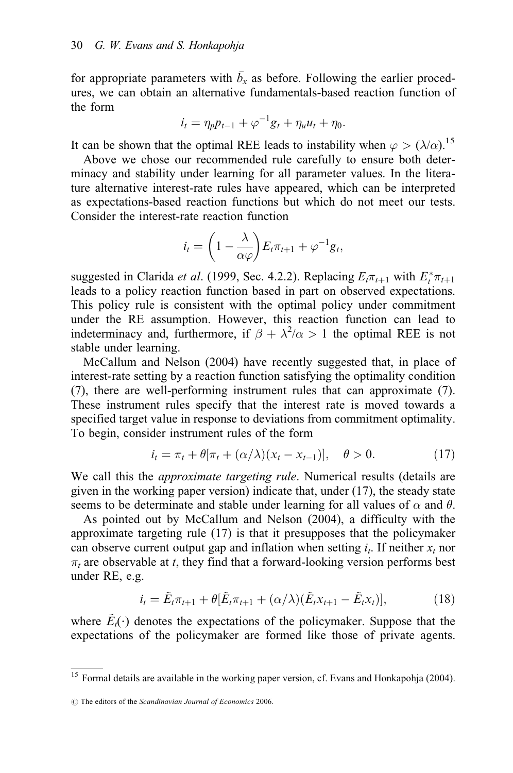for appropriate parameters with  $\bar{b}_x$  as before. Following the earlier procedures, we can obtain an alternative fundamentals-based reaction function of the form

$$
i_t = \eta_p p_{t-1} + \varphi^{-1} g_t + \eta_u u_t + \eta_0.
$$

It can be shown that the optimal REE leads to instability when  $\varphi > (\lambda/\alpha)$ .<sup>15</sup>

Above we chose our recommended rule carefully to ensure both determinacy and stability under learning for all parameter values. In the literature alternative interest-rate rules have appeared, which can be interpreted as expectations-based reaction functions but which do not meet our tests. Consider the interest-rate reaction function

$$
i_t = \left(1 - \frac{\lambda}{\alpha \varphi}\right) E_t \pi_{t+1} + \varphi^{-1} g_t,
$$

suggested in Clarida et al. (1999, Sec. 4.2.2). Replacing  $E_t \pi_{t+1}$  with  $E_t^* \pi_{t+1}$ leads to a policy reaction function based in part on observed expectations. This policy rule is consistent with the optimal policy under commitment under the RE assumption. However, this reaction function can lead to indeterminacy and, furthermore, if  $\beta + \lambda^2/\alpha > 1$  the optimal REE is not stable under learning.

McCallum and Nelson (2004) have recently suggested that, in place of interest-rate setting by a reaction function satisfying the optimality condition (7), there are well-performing instrument rules that can approximate (7). These instrument rules specify that the interest rate is moved towards a specified target value in response to deviations from commitment optimality. To begin, consider instrument rules of the form

$$
i_t = \pi_t + \theta[\pi_t + (\alpha/\lambda)(x_t - x_{t-1})], \quad \theta > 0.
$$
 (17)

We call this the *approximate targeting rule*. Numerical results (details are given in the working paper version) indicate that, under (17), the steady state seems to be determinate and stable under learning for all values of  $\alpha$  and  $\theta$ .

As pointed out by McCallum and Nelson (2004), a difficulty with the approximate targeting rule (17) is that it presupposes that the policymaker can observe current output gap and inflation when setting  $i_t$ . If neither  $x_t$  nor  $\pi_t$  are observable at t, they find that a forward-looking version performs best under RE, e.g.

$$
i_t = \tilde{E}_t \pi_{t+1} + \theta [\tilde{E}_t \pi_{t+1} + (\alpha/\lambda)(\tilde{E}_t x_{t+1} - \tilde{E}_t x_t)],
$$
\n(18)

where  $E_t(\cdot)$  denotes the expectations of the policymaker. Suppose that the expectations of the policymaker are formed like those of private agents.

<sup>15</sup> Formal details are available in the working paper version, cf. Evans and Honkapohja (2004).

 $\circled{c}$  The editors of the Scandinavian Journal of Economics 2006.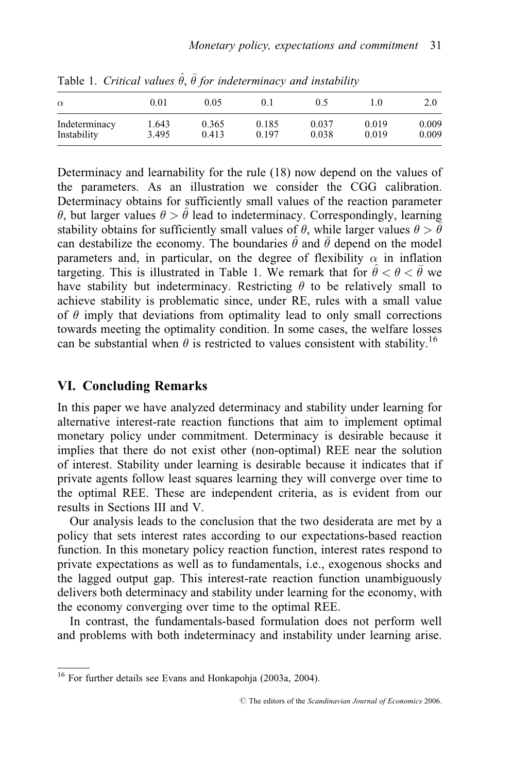| $\alpha$      | 0.01  | 0.05  | 0.1   | 0.5   | 1.0   | 2.0   |
|---------------|-------|-------|-------|-------|-------|-------|
| Indeterminacy | 1.643 | 0.365 | 0.185 | 0.037 | 0.019 | 0.009 |
| Instability   | 3.495 | 0.413 | 0.197 | 0.038 | 0.019 | 0.009 |

Table 1. Critical values  $\hat{\theta}$ ,  $\bar{\theta}$  for indeterminacy and instability

Determinacy and learnability for the rule (18) now depend on the values of the parameters. As an illustration we consider the CGG calibration. Determinacy obtains for sufficiently small values of the reaction parameter  $\theta$ , but larger values  $\theta > \theta$  lead to indeterminacy. Correspondingly, learning stability obtains for sufficiently small values of  $\theta$ , while larger values  $\theta > \bar{\theta}$ can destabilize the economy. The boundaries  $\hat{\theta}$  and  $\bar{\theta}$  depend on the model parameters and, in particular, on the degree of flexibility  $\alpha$  in inflation targeting. This is illustrated in Table 1. We remark that for  $\hat{\theta} < \theta < \bar{\theta}$  we have stability but indeterminacy. Restricting  $\theta$  to be relatively small to achieve stability is problematic since, under RE, rules with a small value of  $\theta$  imply that deviations from optimality lead to only small corrections towards meeting the optimality condition. In some cases, the welfare losses can be substantial when  $\theta$  is restricted to values consistent with stability.<sup>16</sup>

#### VI. Concluding Remarks

In this paper we have analyzed determinacy and stability under learning for alternative interest-rate reaction functions that aim to implement optimal monetary policy under commitment. Determinacy is desirable because it implies that there do not exist other (non-optimal) REE near the solution of interest. Stability under learning is desirable because it indicates that if private agents follow least squares learning they will converge over time to the optimal REE. These are independent criteria, as is evident from our results in Sections III and V.

Our analysis leads to the conclusion that the two desiderata are met by a policy that sets interest rates according to our expectations-based reaction function. In this monetary policy reaction function, interest rates respond to private expectations as well as to fundamentals, i.e., exogenous shocks and the lagged output gap. This interest-rate reaction function unambiguously delivers both determinacy and stability under learning for the economy, with the economy converging over time to the optimal REE.

In contrast, the fundamentals-based formulation does not perform well and problems with both indeterminacy and instability under learning arise.

<sup>16</sup> For further details see Evans and Honkapohja (2003a, 2004).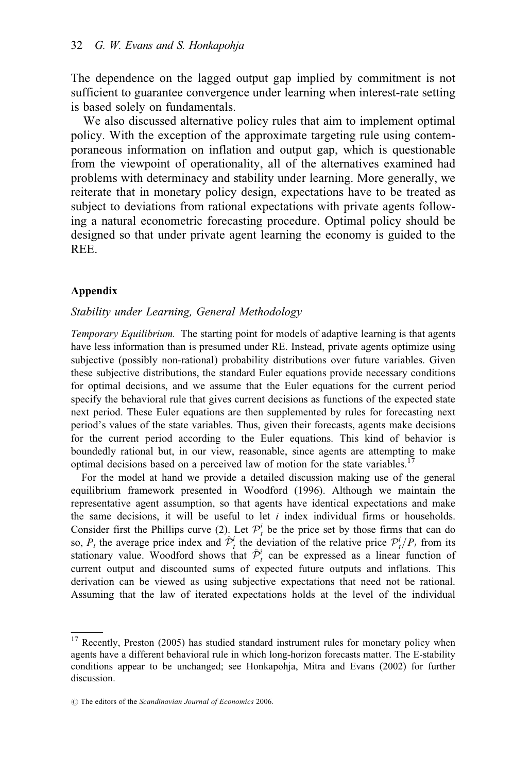The dependence on the lagged output gap implied by commitment is not sufficient to guarantee convergence under learning when interest-rate setting is based solely on fundamentals.

We also discussed alternative policy rules that aim to implement optimal policy. With the exception of the approximate targeting rule using contemporaneous information on inflation and output gap, which is questionable from the viewpoint of operationality, all of the alternatives examined had problems with determinacy and stability under learning. More generally, we reiterate that in monetary policy design, expectations have to be treated as subject to deviations from rational expectations with private agents following a natural econometric forecasting procedure. Optimal policy should be designed so that under private agent learning the economy is guided to the REE.

#### Appendix

#### Stability under Learning, General Methodology

Temporary Equilibrium. The starting point for models of adaptive learning is that agents have less information than is presumed under RE. Instead, private agents optimize using subjective (possibly non-rational) probability distributions over future variables. Given these subjective distributions, the standard Euler equations provide necessary conditions for optimal decisions, and we assume that the Euler equations for the current period specify the behavioral rule that gives current decisions as functions of the expected state next period. These Euler equations are then supplemented by rules for forecasting next period's values of the state variables. Thus, given their forecasts, agents make decisions for the current period according to the Euler equations. This kind of behavior is boundedly rational but, in our view, reasonable, since agents are attempting to make optimal decisions based on a perceived law of motion for the state variables.<sup>17</sup>

For the model at hand we provide a detailed discussion making use of the general equilibrium framework presented in Woodford (1996). Although we maintain the representative agent assumption, so that agents have identical expectations and make the same decisions, it will be useful to let  $i$  index individual firms or households. Consider first the Phillips curve (2). Let  $\mathcal{P}_t^i$  be the price set by those firms that can do so,  $P_t$  the average price index and  $\hat{P}_t^i$  the deviation of the relative price  $\mathcal{P}_t^i/P_t$  from its stationary value. Woodford shows that  $\hat{\mathcal{P}}_t^i$  can be expressed as a linear function of current output and discounted sums of expected future outputs and inflations. This derivation can be viewed as using subjective expectations that need not be rational. Assuming that the law of iterated expectations holds at the level of the individual

<sup>&</sup>lt;sup>17</sup> Recently, Preston (2005) has studied standard instrument rules for monetary policy when agents have a different behavioral rule in which long-horizon forecasts matter. The E-stability conditions appear to be unchanged; see Honkapohja, Mitra and Evans (2002) for further discussion.

 $\circled{c}$  The editors of the Scandinavian Journal of Economics 2006.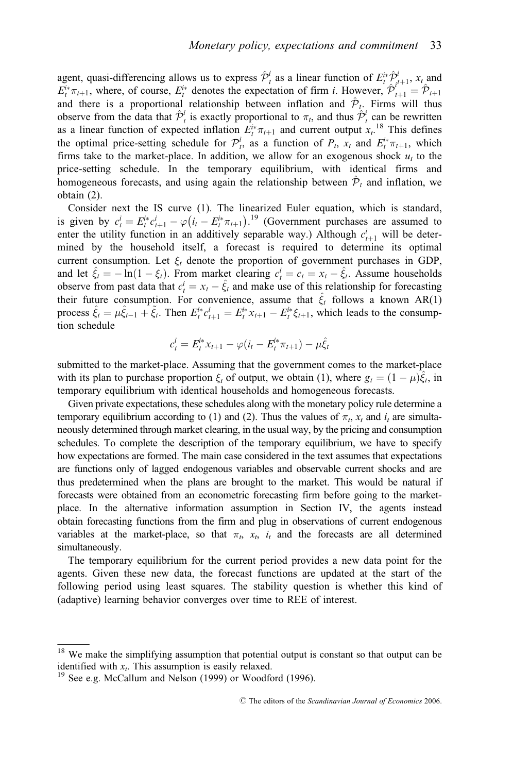agent, quasi-differencing allows us to express  $\hat{\mathcal{P}}_t^i$  as a linear function of  $E_t^* \hat{\mathcal{P}}_{t-1}^i$ ,  $x_t$  and  $E_t^i \pi_{t+1}$ , where, of course,  $E_t^i$  denotes the expectation of firm *i*. However,  $\hat{\mathcal{P}}_{t+1}^{i^{(i+1)}} = \hat{\mathcal{P}}_{t+1}$ and there is a proportional relationship between inflation and  $\hat{\mathcal{P}}_t$ . Firms will thus observe from the data that  $\hat{\mathcal{P}}_t^i$  is exactly proportional to  $\pi_t$ , and thus  $\hat{\mathcal{P}}_t^i$  can be rewritten as a linear function of expected inflation  $E_t^{i*}\pi_{t+1}$  and current output  $x_t$ .<sup>18</sup> This defines the optimal price-setting schedule for  $\mathcal{P}_t^i$ , as a function of  $P_t$ ,  $x_t$  and  $E_t^{i*}\pi_{t+1}$ , which firms take to the market-place. In addition, we allow for an exogenous shock  $u_t$  to the price-setting schedule. In the temporary equilibrium, with identical firms and homogeneous forecasts, and using again the relationship between  $\mathcal{P}_t$  and inflation, we obtain (2).

Consider next the IS curve (1). The linearized Euler equation, which is standard, is given by  $c_i^i = E_i^* c_{i+1}^i - \varphi (i_i - E_i^* \pi_{i+1})$ .<sup>19</sup> (Government purchases are assumed to enter the utility function in an additively separable way.) Although  $c_{t+1}^i$  will be determined by the household itself, a forecast is required to determine its optimal current consumption. Let  $\xi_t$  denote the proportion of government purchases in GDP, and let  $\hat{\xi}_t = -\ln(1 - \xi_t)$ . From market clearing  $c^i_t = c_t = x_t - \hat{\xi}_t$ . Assume households observe from past data that  $c_t^i = x_t - \hat{\xi}_t$  and make use of this relationship for forecasting their future consumption. For convenience, assume that  $\ddot{\xi}_t$  follows a known AR(1) process  $\hat{\xi}_t = \mu \hat{\xi}_{t-1} + \tilde{\xi}_t$ . Then  $E_t^{i*} c_{t+1}^i = E_t^{i*} x_{t+1} - E_t^{i*} \xi_{t+1}$ , which leads to the consumption schedule

$$
c_t^i = E_t^{i*} x_{t+1} - \varphi(i_t - E_t^{i*} \pi_{t+1}) - \mu \hat{\xi}_t
$$

submitted to the market-place. Assuming that the government comes to the market-place with its plan to purchase proportion  $\xi_t$  of output, we obtain (1), where  $g_t = (1 - \mu)\hat{\xi}_t$ , in temporary equilibrium with identical households and homogeneous forecasts.

Given private expectations, these schedules along with the monetary policy rule determine a temporary equilibrium according to (1) and (2). Thus the values of  $\pi_t$ ,  $x_t$  and  $i_t$  are simultaneously determined through market clearing, in the usual way, by the pricing and consumption schedules. To complete the description of the temporary equilibrium, we have to specify how expectations are formed. The main case considered in the text assumes that expectations are functions only of lagged endogenous variables and observable current shocks and are thus predetermined when the plans are brought to the market. This would be natural if forecasts were obtained from an econometric forecasting firm before going to the marketplace. In the alternative information assumption in Section IV, the agents instead obtain forecasting functions from the firm and plug in observations of current endogenous variables at the market-place, so that  $\pi_t$ ,  $x_t$ ,  $i_t$  and the forecasts are all determined simultaneously.

The temporary equilibrium for the current period provides a new data point for the agents. Given these new data, the forecast functions are updated at the start of the following period using least squares. The stability question is whether this kind of (adaptive) learning behavior converges over time to REE of interest.

<sup>&</sup>lt;sup>18</sup> We make the simplifying assumption that potential output is constant so that output can be identified with  $x_t$ . This assumption is easily relaxed. <sup>19</sup> See e.g. McCallum and Nelson (1999) or Woodford (1996).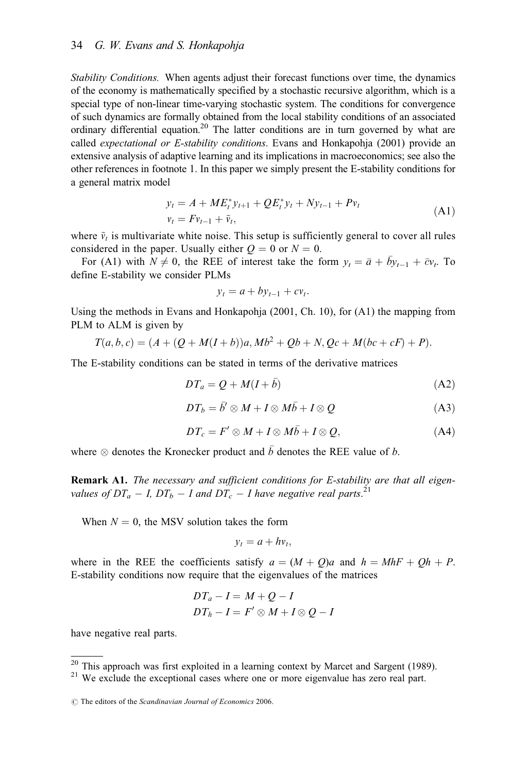Stability Conditions. When agents adjust their forecast functions over time, the dynamics of the economy is mathematically specified by a stochastic recursive algorithm, which is a special type of non-linear time-varying stochastic system. The conditions for convergence of such dynamics are formally obtained from the local stability conditions of an associated ordinary differential equation.<sup>20</sup> The latter conditions are in turn governed by what are called expectational or E-stability conditions. Evans and Honkapohja (2001) provide an extensive analysis of adaptive learning and its implications in macroeconomics; see also the other references in footnote 1. In this paper we simply present the E-stability conditions for a general matrix model

$$
y_t = A + ME_t^* y_{t+1} + QE_t^* y_t + Ny_{t-1} + Pv_t
$$
  
\n
$$
v_t = Fv_{t-1} + \tilde{v}_t,
$$
\n(A1)

where  $\tilde{v}_t$  is multivariate white noise. This setup is sufficiently general to cover all rules considered in the paper. Usually either  $Q = 0$  or  $N = 0$ .

For (A1) with  $N \neq 0$ , the REE of interest take the form  $y_t = \bar{a} + \bar{b}y_{t-1} + \bar{c}y_t$ . To define E-stability we consider PLMs

$$
y_t = a + by_{t-1} + cv_t.
$$

Using the methods in Evans and Honkapohja (2001, Ch. 10), for (A1) the mapping from PLM to ALM is given by

$$
T(a, b, c) = (A + (Q + M(I + b))a, Mb^{2} + Qb + N, Qc + M(bc + cF) + P).
$$

The E-stability conditions can be stated in terms of the derivative matrices

$$
DT_a = Q + M(I + \bar{b})\tag{A2}
$$

$$
DT_b = \bar{b}' \otimes M + I \otimes M\bar{b} + I \otimes Q \tag{A3}
$$

$$
DT_c = F' \otimes M + I \otimes M\bar{b} + I \otimes Q, \tag{A4}
$$

where  $\otimes$  denotes the Kronecker product and  $\bar{b}$  denotes the REE value of b.

Remark A1. The necessary and sufficient conditions for E-stability are that all eigenvalues of  $DT_a - I$ ,  $DT_b - I$  and  $DT_c - I$  have negative real parts.<sup>21</sup>

When  $N = 0$ , the MSV solution takes the form

$$
y_t = a + hv_t,
$$

where in the REE the coefficients satisfy  $a = (M + Q)a$  and  $h = MhF + Qh + P$ . E-stability conditions now require that the eigenvalues of the matrices

$$
DT_a - I = M + Q - I
$$
  

$$
DT_h - I = F' \otimes M + I \otimes Q - I
$$

have negative real parts.

<sup>&</sup>lt;sup>20</sup> This approach was first exploited in a learning context by Marcet and Sargent (1989).<br><sup>21</sup> We exclude the exceptional cases where one or more eigenvalue has zero real part.

 $\odot$  The editors of the Scandinavian Journal of Economics 2006.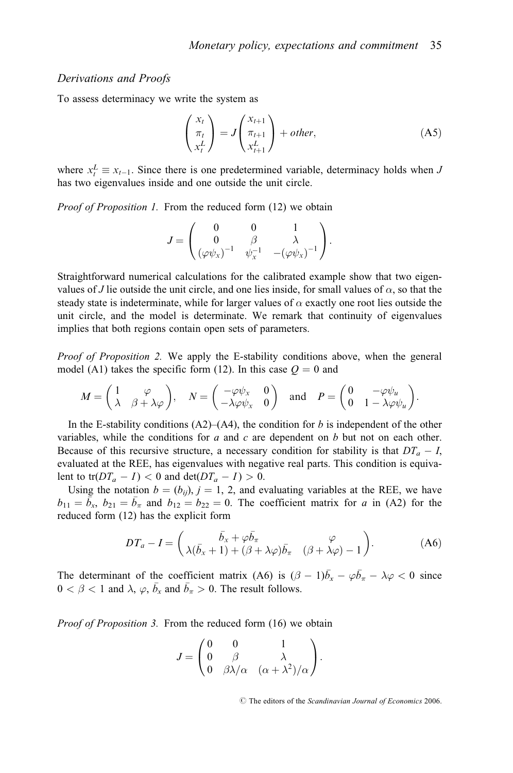#### Derivations and Proofs

To assess determinacy we write the system as

$$
\begin{pmatrix} x_t \\ \pi_t \\ x_t^L \end{pmatrix} = J \begin{pmatrix} x_{t+1} \\ \pi_{t+1} \\ x_{t+1}^L \end{pmatrix} + other,
$$
\n(A5)

where  $x_t^L \equiv x_{t-1}$ . Since there is one predetermined variable, determinacy holds when J has two eigenvalues inside and one outside the unit circle.

Proof of Proposition 1. From the reduced form (12) we obtain

$$
J = \begin{pmatrix} 0 & 0 & 1 \\ 0 & \beta & \lambda \\ (\varphi \psi_x)^{-1} & \psi_x^{-1} & -(\varphi \psi_x)^{-1} \end{pmatrix}.
$$

Straightforward numerical calculations for the calibrated example show that two eigenvalues of J lie outside the unit circle, and one lies inside, for small values of  $\alpha$ , so that the steady state is indeterminate, while for larger values of  $\alpha$  exactly one root lies outside the unit circle, and the model is determinate. We remark that continuity of eigenvalues implies that both regions contain open sets of parameters.

Proof of Proposition 2. We apply the E-stability conditions above, when the general model (A1) takes the specific form (12). In this case  $Q = 0$  and

$$
M = \begin{pmatrix} 1 & \varphi \\ \lambda & \beta + \lambda \varphi \end{pmatrix}, \quad N = \begin{pmatrix} -\varphi \psi_x & 0 \\ -\lambda \varphi \psi_x & 0 \end{pmatrix} \quad \text{and} \quad P = \begin{pmatrix} 0 & -\varphi \psi_u \\ 0 & 1 - \lambda \varphi \psi_u \end{pmatrix}.
$$

In the E-stability conditions  $(A2)$ – $(A4)$ , the condition for b is independent of the other variables, while the conditions for  $a$  and  $c$  are dependent on  $b$  but not on each other. Because of this recursive structure, a necessary condition for stability is that  $DT_a - I$ , evaluated at the REE, has eigenvalues with negative real parts. This condition is equivalent to  $tr(DT_a - I) < 0$  and  $det(DT_a - I) > 0$ .

Using the notation  $b = (b_{ij}), j = 1, 2$ , and evaluating variables at the REE, we have  $b_{11} = \bar{b}_x$ ,  $b_{21} = \bar{b}_\pi$  and  $b_{12} = b_{22} = 0$ . The coefficient matrix for a in (A2) for the reduced form (12) has the explicit form

$$
DT_a - I = \begin{pmatrix} \bar{b}_x + \varphi \bar{b}_\pi & \varphi \\ \lambda(\bar{b}_x + 1) + (\beta + \lambda \varphi) \bar{b}_\pi & (\beta + \lambda \varphi) - 1 \end{pmatrix}.
$$
 (A6)

The determinant of the coefficient matrix (A6) is  $(\beta - 1)\overline{b_x} - \varphi \overline{b_x} - \lambda \varphi < 0$  since  $0 < \beta < 1$  and  $\lambda$ ,  $\varphi$ ,  $\bar{b}_x$  and  $\bar{b}_\pi > 0$ . The result follows.

Proof of Proposition 3. From the reduced form (16) we obtain

$$
J = \begin{pmatrix} 0 & 0 & 1 \\ 0 & \beta & \lambda \\ 0 & \beta \lambda/\alpha & (\alpha + \lambda^2)/\alpha \end{pmatrix}.
$$

 $\odot$  The editors of the Scandinavian Journal of Economics 2006.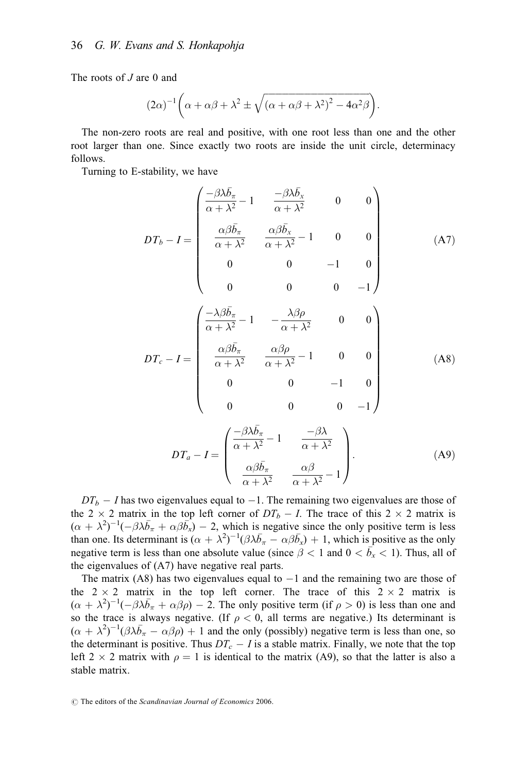The roots of *J* are 0 and

$$
(2\alpha)^{-1}\bigg(\alpha+\alpha\beta+\lambda^2\pm\sqrt{(\alpha+\alpha\beta+\lambda^2)^2-4\alpha^2\beta}\bigg).
$$

The non-zero roots are real and positive, with one root less than one and the other root larger than one. Since exactly two roots are inside the unit circle, determinacy follows.

Turning to E-stability, we have

$$
DT_b - I = \begin{pmatrix} \frac{-\beta\lambda\bar{b}_{\pi}}{\alpha + \lambda^2} - 1 & \frac{-\beta\lambda\bar{b}_{x}}{\alpha + \lambda^2} & 0 & 0\\ \frac{\alpha\beta\bar{b}_{\pi}}{\alpha + \lambda^2} & \frac{\alpha\beta\bar{b}_{x}}{\alpha + \lambda^2} - 1 & 0 & 0\\ 0 & 0 & -1 & 0\\ 0 & 0 & 0 & -1 \end{pmatrix}
$$
(A7)  

$$
DT_c - I = \begin{pmatrix} \frac{-\lambda\beta\bar{b}_{\pi}}{\alpha + \lambda^2} - 1 & -\frac{\lambda\beta\rho}{\alpha + \lambda^2} & 0 & 0\\ \frac{\alpha\beta\bar{b}_{\pi}}{\alpha + \lambda^2} & \frac{\alpha\beta\rho}{\alpha + \lambda^2} - 1 & 0 & 0\\ 0 & 0 & -1 & 0\\ 0 & 0 & 0 & -1 \end{pmatrix}
$$
(A8)

$$
DT_a - I = \begin{pmatrix} \frac{-\beta \lambda \bar{b}_\pi}{\alpha + \lambda^2} - 1 & \frac{-\beta \lambda}{\alpha + \lambda^2} \\ \frac{\alpha \beta \bar{b}_\pi}{\alpha + \lambda^2} & \frac{\alpha \beta}{\alpha + \lambda^2} - 1 \end{pmatrix}.
$$
 (A9)

 $DT_b - I$  has two eigenvalues equal to  $-1$ . The remaining two eigenvalues are those of the 2  $\times$  2 matrix in the top left corner of  $DT_b$  – *I*. The trace of this 2  $\times$  2 matrix is  $(\alpha + \lambda^2)^{-1}(-\beta \lambda \bar{b}_{\pi} + \alpha \beta \bar{b}_{\pi}) - 2$ , which is negative since the only positive term is less than one. Its determinant is  $(\alpha + \lambda^2)^{-1}(\beta \lambda \bar{b}_{\pi} - \alpha \beta \bar{b}_{\pi}) + 1$ , which is positive as the only negative term is less than one absolute value (since  $\beta < 1$  and  $0 < \overline{b_x} < 1$ ). Thus, all of the eigenvalues of (A7) have negative real parts.

The matrix (A8) has two eigenvalues equal to  $-1$  and the remaining two are those of the  $2 \times 2$  matrix in the top left corner. The trace of this  $2 \times 2$  matrix is  $(\alpha + \lambda^2)^{-1}(-\beta \lambda \bar{b}_{\pi} + \alpha \beta \rho) - 2$ . The only positive term (if  $\rho > 0$ ) is less than one and so the trace is always negative. (If  $\rho < 0$ , all terms are negative.) Its determinant is  $(\alpha + \lambda^2)^{-1} (\beta \lambda \bar{b}_{\pi} - \alpha \beta \rho) + 1$  and the only (possibly) negative term is less than one, so the determinant is positive. Thus  $DT_c - I$  is a stable matrix. Finally, we note that the top left 2  $\times$  2 matrix with  $\rho = 1$  is identical to the matrix (A9), so that the latter is also a stable matrix.

 $\circled{c}$  The editors of the Scandinavian Journal of Economics 2006.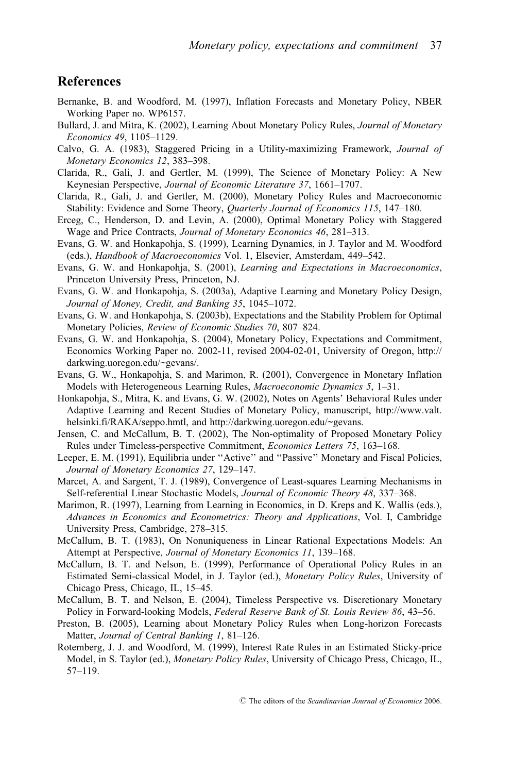# References

- Bernanke, B. and Woodford, M. (1997), Inflation Forecasts and Monetary Policy, NBER Working Paper no. WP6157.
- Bullard, J. and Mitra, K. (2002), Learning About Monetary Policy Rules, Journal of Monetary Economics 49, 1105–1129.
- Calvo, G. A. (1983), Staggered Pricing in a Utility-maximizing Framework, Journal of Monetary Economics 12, 383–398.
- Clarida, R., Gali, J. and Gertler, M. (1999), The Science of Monetary Policy: A New Keynesian Perspective, Journal of Economic Literature 37, 1661–1707.
- Clarida, R., Gali, J. and Gertler, M. (2000), Monetary Policy Rules and Macroeconomic Stability: Evidence and Some Theory, Quarterly Journal of Economics 115, 147–180.
- Erceg, C., Henderson, D. and Levin, A. (2000), Optimal Monetary Policy with Staggered Wage and Price Contracts, Journal of Monetary Economics 46, 281–313.
- Evans, G. W. and Honkapohja, S. (1999), Learning Dynamics, in J. Taylor and M. Woodford (eds.), Handbook of Macroeconomics Vol. 1, Elsevier, Amsterdam, 449–542.
- Evans, G. W. and Honkapohja, S. (2001), Learning and Expectations in Macroeconomics, Princeton University Press, Princeton, NJ.
- Evans, G. W. and Honkapohja, S. (2003a), Adaptive Learning and Monetary Policy Design, Journal of Money, Credit, and Banking 35, 1045–1072.
- Evans, G. W. and Honkapohja, S. (2003b), Expectations and the Stability Problem for Optimal Monetary Policies, Review of Economic Studies 70, 807–824.
- Evans, G. W. and Honkapohja, S. (2004), Monetary Policy, Expectations and Commitment, Economics Working Paper no. 2002-11, revised 2004-02-01, University of Oregon, http:// darkwing.uoregon.edu/~gevans/.
- Evans, G. W., Honkapohja, S. and Marimon, R. (2001), Convergence in Monetary Inflation Models with Heterogeneous Learning Rules, Macroeconomic Dynamics 5, 1–31.
- Honkapohja, S., Mitra, K. and Evans, G. W. (2002), Notes on Agents' Behavioral Rules under Adaptive Learning and Recent Studies of Monetary Policy, manuscript, http://www.valt. helsinki.fi/RAKA/seppo.hmtl, and http://darkwing.uoregon.edu/~gevans.
- Jensen, C. and McCallum, B. T. (2002), The Non-optimality of Proposed Monetary Policy Rules under Timeless-perspective Commitment, Economics Letters 75, 163–168.
- Leeper, E. M. (1991), Equilibria under ''Active'' and ''Passive'' Monetary and Fiscal Policies, Journal of Monetary Economics 27, 129–147.
- Marcet, A. and Sargent, T. J. (1989), Convergence of Least-squares Learning Mechanisms in Self-referential Linear Stochastic Models, Journal of Economic Theory 48, 337–368.
- Marimon, R. (1997), Learning from Learning in Economics, in D. Kreps and K. Wallis (eds.), Advances in Economics and Econometrics: Theory and Applications, Vol. I, Cambridge University Press, Cambridge, 278–315.
- McCallum, B. T. (1983), On Nonuniqueness in Linear Rational Expectations Models: An Attempt at Perspective, Journal of Monetary Economics 11, 139–168.
- McCallum, B. T. and Nelson, E. (1999), Performance of Operational Policy Rules in an Estimated Semi-classical Model, in J. Taylor (ed.), Monetary Policy Rules, University of Chicago Press, Chicago, IL, 15–45.
- McCallum, B. T. and Nelson, E. (2004), Timeless Perspective vs. Discretionary Monetary Policy in Forward-looking Models, Federal Reserve Bank of St. Louis Review 86, 43–56.
- Preston, B. (2005), Learning about Monetary Policy Rules when Long-horizon Forecasts Matter, Journal of Central Banking 1, 81–126.
- Rotemberg, J. J. and Woodford, M. (1999), Interest Rate Rules in an Estimated Sticky-price Model, in S. Taylor (ed.), Monetary Policy Rules, University of Chicago Press, Chicago, IL, 57–119.